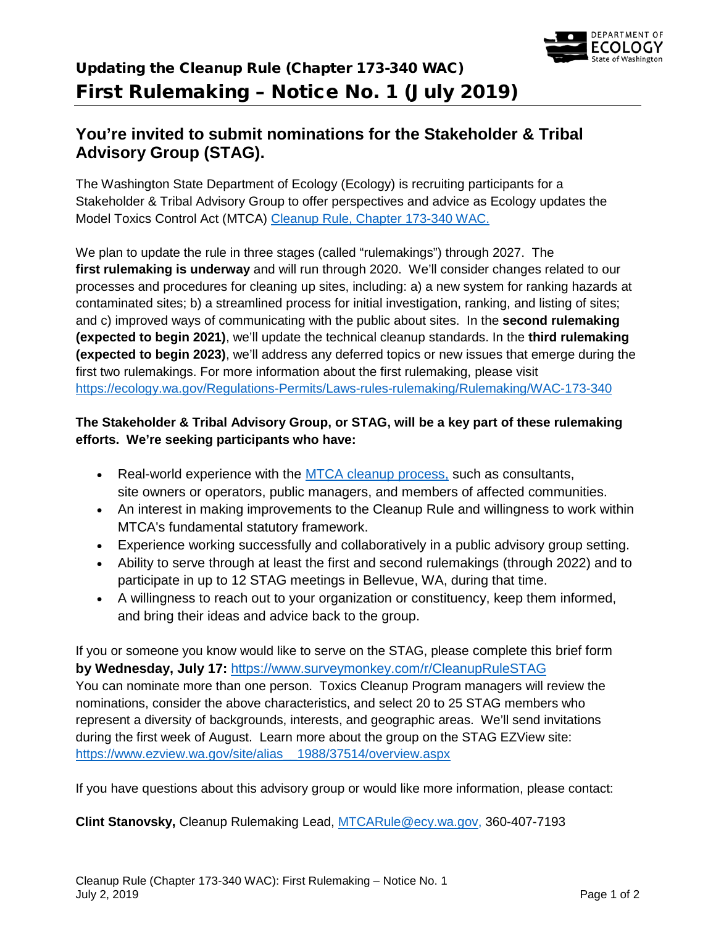

## Updating the Cleanup Rule (Chapter 173-340 WAC) First Rulemaking – Notice No. 1 (July 2019)

## **You're invited to submit nominations for the Stakeholder & Tribal Advisory Group (STAG).**

The Washington State Department of Ecology (Ecology) is recruiting participants for a Stakeholder & Tribal Advisory Group to offer perspectives and advice as Ecology updates the Model Toxics Control Act (MTCA) [Cleanup Rule, Chapter 173-340 WAC.](https://apps.leg.wa.gov/WAC/default.aspx?cite=173-340)

We plan to update the rule in three stages (called "rulemakings") through 2027. The **first rulemaking is underway** and will run through 2020. We'll consider changes related to our processes and procedures for cleaning up sites, including: a) a new system for ranking hazards at contaminated sites; b) a streamlined process for initial investigation, ranking, and listing of sites; and c) improved ways of communicating with the public about sites. In the **second rulemaking (expected to begin 2021)**, we'll update the technical cleanup standards. In the **third rulemaking (expected to begin 2023)**, we'll address any deferred topics or new issues that emerge during the first two rulemakings. For more information about the first rulemaking, please visit <https://ecology.wa.gov/Regulations-Permits/Laws-rules-rulemaking/Rulemaking/WAC-173-340>

## **The Stakeholder & Tribal Advisory Group, or STAG, will be a key part of these rulemaking efforts. We're seeking participants who have:**

- Real-world experience with the [MTCA cleanup process,](https://ecology.wa.gov/Spills-Cleanup/Contamination-cleanup/Cleanup-process) such as consultants, site owners or operators, public managers, and members of affected communities.
- An interest in making improvements to the Cleanup Rule and willingness to work within MTCA's fundamental statutory framework.
- Experience working successfully and collaboratively in a public advisory group setting.
- Ability to serve through at least the first and second rulemakings (through 2022) and to participate in up to 12 STAG meetings in Bellevue, WA, during that time.
- A willingness to reach out to your organization or constituency, keep them informed, and bring their ideas and advice back to the group.

If you or someone you know would like to serve on the STAG, please complete this brief form **by Wednesday, July 17:** <https://www.surveymonkey.com/r/CleanupRuleSTAG> You can nominate more than one person. Toxics Cleanup Program managers will review the nominations, consider the above characteristics, and select 20 to 25 STAG members who represent a diversity of backgrounds, interests, and geographic areas. We'll send invitations during the first week of August. Learn more about the group on the STAG EZView site: [https://www.ezview.wa.gov/site/alias\\_\\_1988/37514/overview.aspx](https://www.ezview.wa.gov/site/alias__1988/37514/overview.aspx)

If you have questions about this advisory group or would like more information, please contact:

**Clint Stanovsky,** Cleanup Rulemaking Lead, [MTCARule@ecy.wa.gov,](mailto:MTCARule@ecy.wa.gov) 360-407-7193